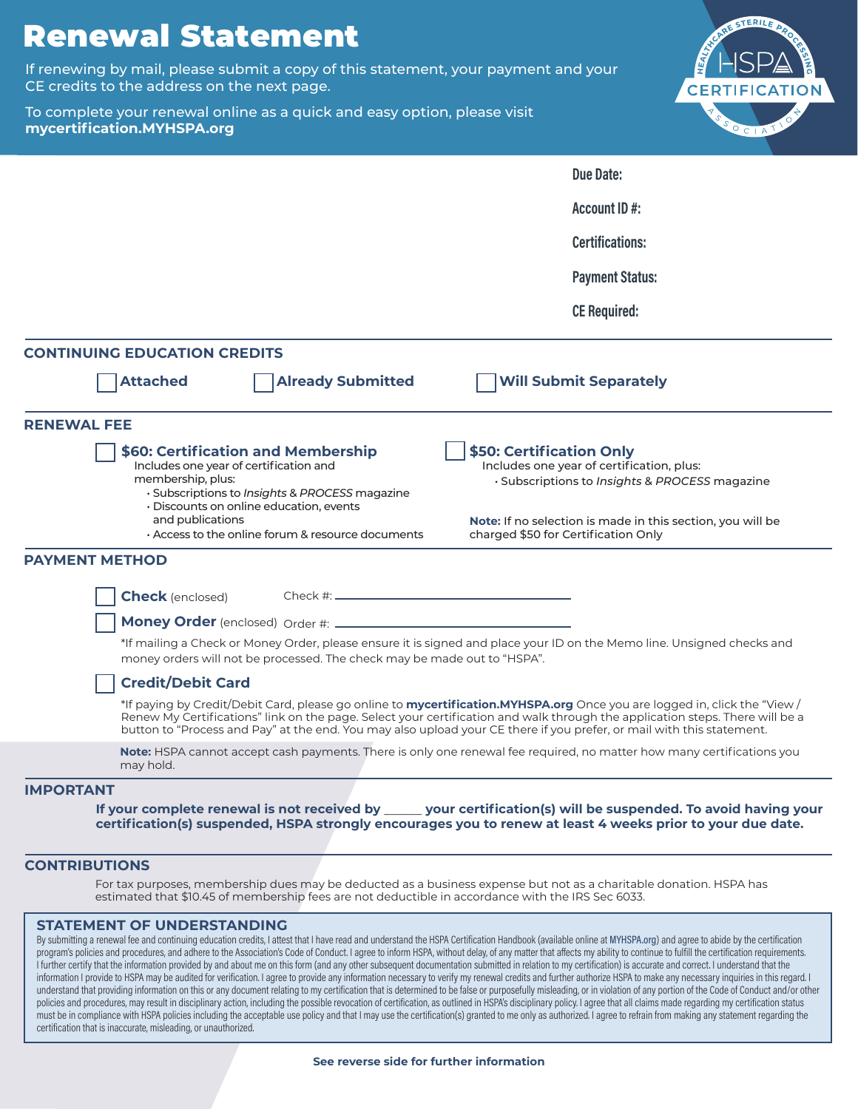# Renewal Statement

If renewing by mail, please submit a copy of this statement, your payment and your CE credits to the address on the next page.

To complete your renewal online as a quick and easy option, please visit **mycertification.MYHSPA.org**



|                                                                                                                                                                                                                                                                                    | <b>Due Date:</b>                                                                                                                                                                                                                                                                                                                                                                          |
|------------------------------------------------------------------------------------------------------------------------------------------------------------------------------------------------------------------------------------------------------------------------------------|-------------------------------------------------------------------------------------------------------------------------------------------------------------------------------------------------------------------------------------------------------------------------------------------------------------------------------------------------------------------------------------------|
|                                                                                                                                                                                                                                                                                    | Account ID#:                                                                                                                                                                                                                                                                                                                                                                              |
|                                                                                                                                                                                                                                                                                    | <b>Certifications:</b>                                                                                                                                                                                                                                                                                                                                                                    |
|                                                                                                                                                                                                                                                                                    | <b>Payment Status:</b>                                                                                                                                                                                                                                                                                                                                                                    |
|                                                                                                                                                                                                                                                                                    | <b>CE Required:</b>                                                                                                                                                                                                                                                                                                                                                                       |
| <b>CONTINUING EDUCATION CREDITS</b>                                                                                                                                                                                                                                                |                                                                                                                                                                                                                                                                                                                                                                                           |
| <b>Already Submitted</b><br><b>Attached</b>                                                                                                                                                                                                                                        | <b>Will Submit Separately</b>                                                                                                                                                                                                                                                                                                                                                             |
| <b>RENEWAL FEE</b>                                                                                                                                                                                                                                                                 |                                                                                                                                                                                                                                                                                                                                                                                           |
| <b>\$60: Certification and Membership</b><br>Includes one year of certification and<br>membership, plus:<br>· Subscriptions to Insights & PROCESS magazine<br>$\cdot$ Discounts on online education, events<br>and publications<br>Access to the online forum & resource documents | \$50: Certification Only<br>Includes one year of certification, plus:<br>· Subscriptions to Insights & PROCESS magazine<br>Note: If no selection is made in this section, you will be<br>charged \$50 for Certification Only                                                                                                                                                              |
| <b>PAYMENT METHOD</b>                                                                                                                                                                                                                                                              |                                                                                                                                                                                                                                                                                                                                                                                           |
| <b>Check</b> (enclosed)<br>Money Order (enclosed) Order #: ____                                                                                                                                                                                                                    |                                                                                                                                                                                                                                                                                                                                                                                           |
| money orders will not be processed. The check may be made out to "HSPA".                                                                                                                                                                                                           | *If mailing a Check or Money Order, please ensure it is signed and place your ID on the Memo line. Unsigned checks and                                                                                                                                                                                                                                                                    |
| <b>Credit/Debit Card</b>                                                                                                                                                                                                                                                           |                                                                                                                                                                                                                                                                                                                                                                                           |
|                                                                                                                                                                                                                                                                                    | *If paying by Credit/Debit Card, please go online to <b>mycertification.MYHSPA.org</b> Once you are logged in, click the "View /<br>Renew My Certifications" link on the page. Select your certification and walk through the application steps. There will be a<br>button to "Process and Pay" at the end. You may also upload your CE there if you prefer, or mail with this statement. |
| may hold.                                                                                                                                                                                                                                                                          | Note: HSPA cannot accept cash payments. There is only one renewal fee required, no matter how many certifications you                                                                                                                                                                                                                                                                     |
| <b>IMPORTANT</b>                                                                                                                                                                                                                                                                   |                                                                                                                                                                                                                                                                                                                                                                                           |
|                                                                                                                                                                                                                                                                                    | If your complete renewal is not received by _____ your certification(s) will be suspended. To avoid having your<br>certification(s) suspended, HSPA strongly encourages you to renew at least 4 weeks prior to your due date.                                                                                                                                                             |

## **CONTRIBUTIONS**

For tax purposes, membership dues may be deducted as a business expense but not as a charitable donation. HSPA has estimated that \$10.45 of membership fees are not deductible in accordance with the IRS Sec 6033.

### **STATEMENT OF UNDERSTANDING**

By submitting a renewal fee and continuing education credits, I attest that I have read and understand the HSPA Certification Handbook (available online at MYHSPA.org) and agree to abide by the certification program's policies and procedures, and adhere to the Association's Code of Conduct. I agree to inform HSPA, without delay, of any matter that affects my ability to continue to fulfill the certification requirements. I further certify that the information provided by and about me on this form (and any other subsequent documentation submitted in relation to my certification) is accurate and correct. I understand that the information I provide to HSPA may be audited for verification. I agree to provide any information necessary to verify my renewal credits and further authorize HSPA to make any necessary inquiries in this regard. I understand that providing information on this or any document relating to my certification that is determined to be false or purposefully misleading, or in violation of any portion of the Code of Conduct and/or other policies and procedures, may result in disciplinary action, including the possible revocation of certification, as outlined in HSPA's disciplinary policy. I agree that all claims made regarding my certification status must be in compliance with HSPA policies including the acceptable use policy and that I may use the certification(s) granted to me only as authorized. I agree to refrain from making any statement regarding the certification that is inaccurate, misleading, or unauthorized.